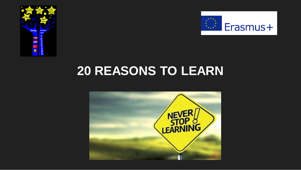



## **20 REASONS TO LEARN**

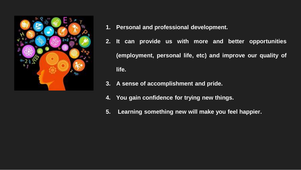

- **1. Personal and professional development.**
- **2. It can provide us with more and better opportunities (employment, personal life, etc) and improve our quality of life.**
- **3. A sense of accomplishment and pride.**
- **4. You gain confidence for trying new things.**
- **5. Learning something new will make you feel happier.**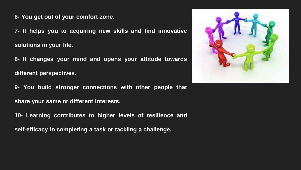**6- You get out of your comfort zone.**

**7- It helps you to acquiring new skills and find innovative solutions in your life.**

**8- It changes your mind and opens your attitude towards different perspectives.**

**9- You build stronger connections with other people that share your same or different interests.**

**10- Learning contributes to higher levels of resilience and**

**self-efficacy in completing a task or tackling a challenge.**

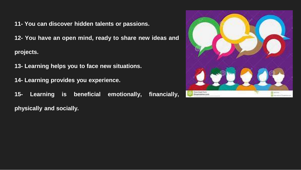**11- You can discover hidden talents or passions.**

**12- You have an open mind, ready to share new ideas and projects.**

**13- Learning helps you to face new situations.**

**14- Learning provides you experience.**

**15- Learning is beneficial emotionally, financially, physically and socially.**